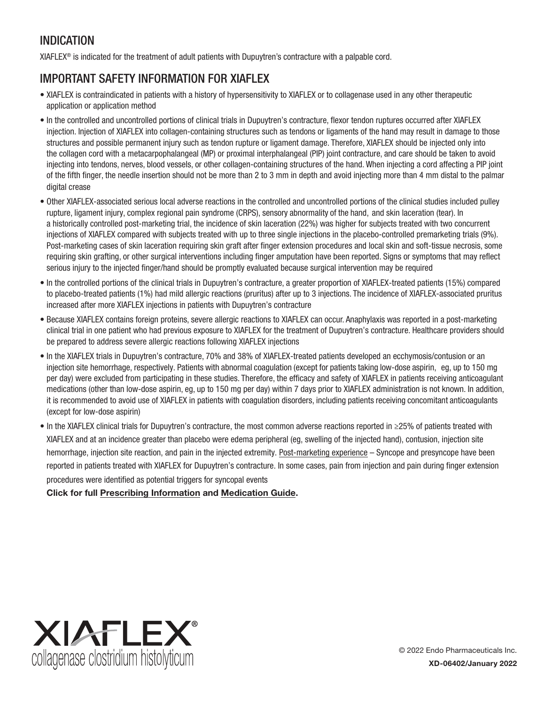# INDICATION

XIAFLEX® is indicated for the treatment of adult patients with Dupuytren's contracture with a palpable cord.

### IMPORTANT SAFETY INFORMATION FOR XIAFLEX

- XIAFLEX is contraindicated in patients with a history of hypersensitivity to XIAFLEX or to collagenase used in any other therapeutic application or application method
- In the controlled and uncontrolled portions of clinical trials in Dupuytren's contracture, flexor tendon ruptures occurred after XIAFLEX injection. Injection of XIAFLEX into collagen-containing structures such as tendons or ligaments of the hand may result in damage to those structures and possible permanent injury such as tendon rupture or ligament damage. Therefore, XIAFLEX should be injected only into the collagen cord with a metacarpophalangeal (MP) or proximal interphalangeal (PIP) joint contracture, and care should be taken to avoid injecting into tendons, nerves, blood vessels, or other collagen-containing structures of the hand. When injecting a cord affecting a PIP joint of the fifth finger, the needle insertion should not be more than 2 to 3 mm in depth and avoid injecting more than 4 mm distal to the palmar digital crease
- Other XIAFLEX-associated serious local adverse reactions in the controlled and uncontrolled portions of the clinical studies included pulley rupture, ligament injury, complex regional pain syndrome (CRPS), sensory abnormality of the hand, and skin laceration (tear). In a historically controlled post-marketing trial, the incidence of skin laceration (22%) was higher for subjects treated with two concurrent injections of XIAFLEX compared with subjects treated with up to three single injections in the placebo-controlled premarketing trials (9%). Post-marketing cases of skin laceration requiring skin graft after finger extension procedures and local skin and soft-tissue necrosis, some requiring skin grafting, or other surgical interventions including finger amputation have been reported. Signs or symptoms that may reflect serious injury to the injected finger/hand should be promptly evaluated because surgical intervention may be required
- In the controlled portions of the clinical trials in Dupuytren's contracture, a greater proportion of XIAFLEX-treated patients (15%) compared to placebo-treated patients (1%) had mild allergic reactions (pruritus) after up to 3 injections. The incidence of XIAFLEX-associated pruritus increased after more XIAFLEX injections in patients with Dupuytren's contracture
- Because XIAFLEX contains foreign proteins, severe allergic reactions to XIAFLEX can occur. Anaphylaxis was reported in a post-marketing clinical trial in one patient who had previous exposure to XIAFLEX for the treatment of Dupuytren's contracture. Healthcare providers should be prepared to address severe allergic reactions following XIAFLEX injections
- In the XIAFLEX trials in Dupuytren's contracture, 70% and 38% of XIAFLEX-treated patients developed an ecchymosis/contusion or an injection site hemorrhage, respectively. Patients with abnormal coagulation (except for patients taking low-dose aspirin, eg, up to 150 mg per day) were excluded from participating in these studies. Therefore, the efficacy and safety of XIAFLEX in patients receiving anticoagulant medications (other than low-dose aspirin, eg, up to 150 mg per day) within 7 days prior to XIAFLEX administration is not known. In addition, it is recommended to avoid use of XIAFLEX in patients with coagulation disorders, including patients receiving concomitant anticoagulants (except for low-dose aspirin)
- In the XIAFLEX clinical trials for Dupuytren's contracture, the most common adverse reactions reported in ≥25% of patients treated with XIAFLEX and at an incidence greater than placebo were edema peripheral (eg, swelling of the injected hand), contusion, injection site hemorrhage, injection site reaction, and pain in the injected extremity. Post-marketing experience – Syncope and presyncope have been reported in patients treated with XIAFLEX for Dupuytren's contracture. In some cases, pain from injection and pain during finger extension procedures were identified as potential triggers for syncopal events

Click for full [Prescribing Informatio](https://endodocuments.com/XIAFLEX/PI)n and [Medication Guide](https://endodocuments.com/XIAFLEX/MG).